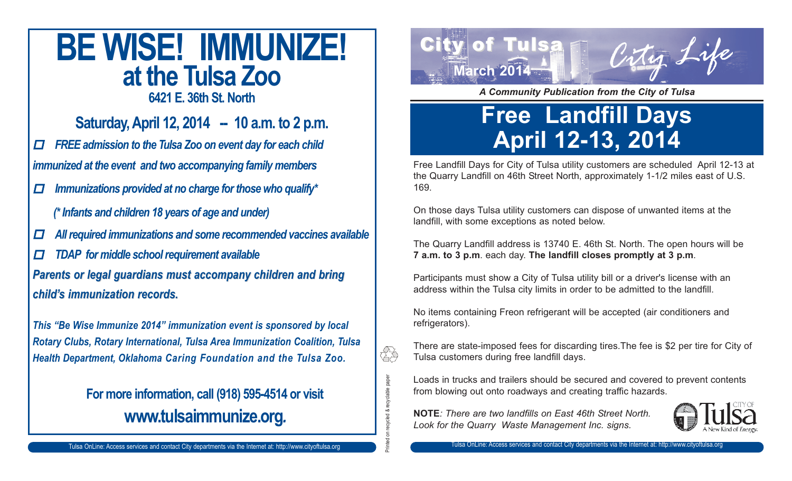### **BE WISE! IMMUNIZE! at the Tulsa Zoo**

**6421 E. 36th St. North**

**Saturday, April 12, 2014 -- 10 a.m. to 2 p.m.**

 $\Box$  *FREE admission to the Tulsa Zoo on event day for each child immunized at the event and two accompanying family members*

- $\Box$  *Immunizations provided at no charge for those who qualify\**
	- *(\* Infants and children 18 years of age and under)*
- $\Box$ *All required immunizations and some recommended vaccines available*
- $\Box$ *TDAP for middle school requirement available*

*Parents or legal guardians must accompany children and bring Parents or legal guardians must accompany children and bring child's immunization records. child's immunization records.*

*This "Be Wise Immunize 2014" immunization event is sponsored by local Rotary Clubs, Rotary International, Tulsa Area Immunization Coalition, Tulsa Health Department, Oklahoma Caring Foundation and the Tulsa Zoo.*

#### **For more information, call (918) 595-4514 or visit www.tulsaimmunize.org***.*



*A Community Publication from the City of Tulsa*

### **Free Landfill Days April 12-13, 2014**

Free Landfill Days for City of Tulsa utility customers are scheduled April 12-13 at the Quarry Landfill on 46th Street North, approximately 1-1/2 miles east of U.S. 169.

On those days Tulsa utility customers can dispose of unwanted items at the landfill, with some exceptions as noted below.

The Quarry Landfill address is 13740 E. 46th St. North. The open hours will be **7 a.m. to 3 p.m**. each day. **The landfill closes promptly at 3 p.m**.

Participants must show a City of Tulsa utility bill or a driver's license with an address within the Tulsa city limits in order to be admitted to the landfill.

No items containing Freon refrigerant will be accepted (air conditioners and refrigerators).

There are state-imposed fees for discarding tires.The fee is \$2 per tire for City of Tulsa customers during free landfill days.

Loads in trucks and trailers should be secured and covered to prevent contents from blowing out onto roadways and creating traffic hazards.

**NOTE***: There are two landfills on East 46th Street North. Look for the Quarry Waste Management Inc. signs.*

Printed on recycled & recyclable paper

rded & recyclable paper

ÊS